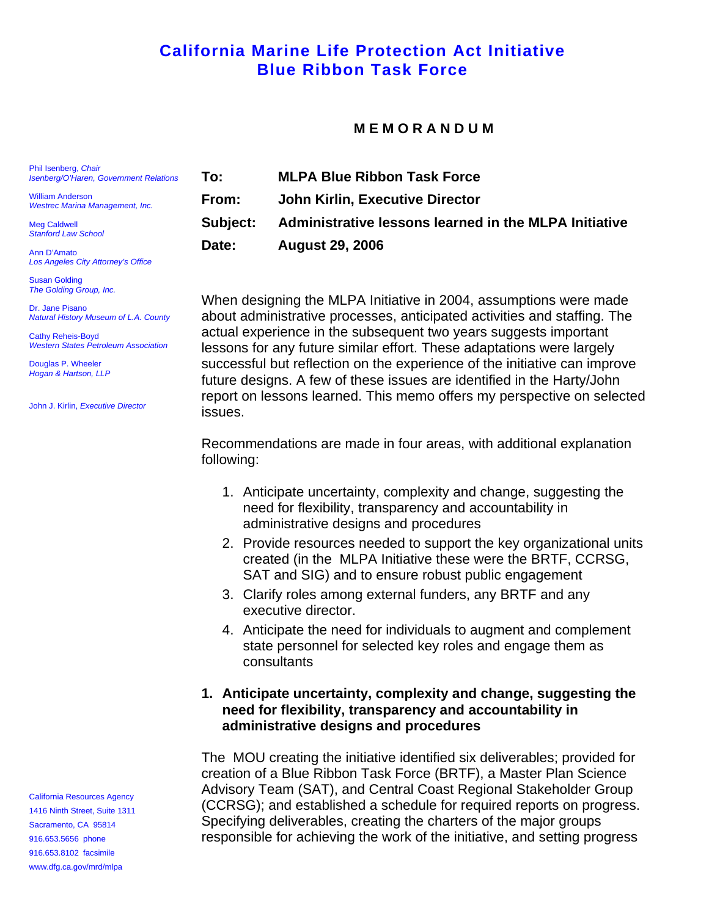# **California Marine Life Protection Act Initiative Blue Ribbon Task Force**

#### **M E M O R A N D U M**

**To: MLPA Blue Ribbon Task Force From: John Kirlin, Executive Director Subject: Administrative lessons learned in the MLPA Initiative Date: August 29, 2006** 

When designing the MLPA Initiative in 2004, assumptions were made about administrative processes, anticipated activities and staffing. The actual experience in the subsequent two years suggests important lessons for any future similar effort. These adaptations were largely successful but reflection on the experience of the initiative can improve future designs. A few of these issues are identified in the Harty/John report on lessons learned. This memo offers my perspective on selected issues.

Recommendations are made in four areas, with additional explanation following:

- 1. Anticipate uncertainty, complexity and change, suggesting the need for flexibility, transparency and accountability in administrative designs and procedures
- 2. Provide resources needed to support the key organizational units created (in the MLPA Initiative these were the BRTF, CCRSG, SAT and SIG) and to ensure robust public engagement
- 3. Clarify roles among external funders, any BRTF and any executive director.
- 4. Anticipate the need for individuals to augment and complement state personnel for selected key roles and engage them as consultants

#### **1. Anticipate uncertainty, complexity and change, suggesting the need for flexibility, transparency and accountability in administrative designs and procedures**

The MOU creating the initiative identified six deliverables; provided for creation of a Blue Ribbon Task Force (BRTF), a Master Plan Science Advisory Team (SAT), and Central Coast Regional Stakeholder Group (CCRSG); and established a schedule for required reports on progress. Specifying deliverables, creating the charters of the major groups responsible for achieving the work of the initiative, and setting progress

Phil Isenberg, *Chair Isenberg/O'Haren, Government Relations*

William Anderson *Westrec Marina Management, Inc.* 

Meg Caldwell *Stanford Law School* 

Ann D'Amato *Los Angeles City Attorney's Office* 

Susan Golding *The Golding Group, Inc.* 

Dr. Jane Pisano *Natural History Museum of L.A. County* 

Cathy Reheis-Boyd *Western States Petroleum Association* 

Douglas P. Wheeler *Hogan & Hartson, LLP* 

John J. Kirlin, *Executive Director* 

California Resources Agency 1416 Ninth Street, Suite 1311 Sacramento, CA 95814 916.653.5656 phone 916.653.8102 facsimile [www.dfg.ca.gov/mrd/mlpa](http://www.dfg.ca.gov/mrd/mlpa)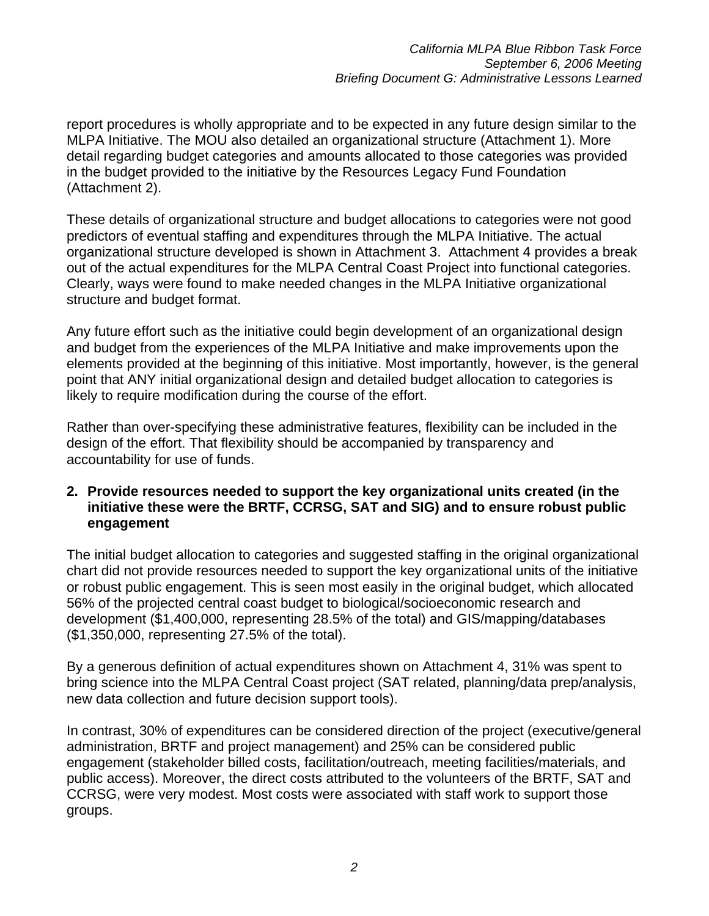report procedures is wholly appropriate and to be expected in any future design similar to the MLPA Initiative. The MOU also detailed an organizational structure (Attachment 1). More detail regarding budget categories and amounts allocated to those categories was provided in the budget provided to the initiative by the Resources Legacy Fund Foundation (Attachment 2).

These details of organizational structure and budget allocations to categories were not good predictors of eventual staffing and expenditures through the MLPA Initiative. The actual organizational structure developed is shown in Attachment 3. Attachment 4 provides a break out of the actual expenditures for the MLPA Central Coast Project into functional categories. Clearly, ways were found to make needed changes in the MLPA Initiative organizational structure and budget format.

Any future effort such as the initiative could begin development of an organizational design and budget from the experiences of the MLPA Initiative and make improvements upon the elements provided at the beginning of this initiative. Most importantly, however, is the general point that ANY initial organizational design and detailed budget allocation to categories is likely to require modification during the course of the effort.

Rather than over-specifying these administrative features, flexibility can be included in the design of the effort. That flexibility should be accompanied by transparency and accountability for use of funds.

### **2. Provide resources needed to support the key organizational units created (in the initiative these were the BRTF, CCRSG, SAT and SIG) and to ensure robust public engagement**

The initial budget allocation to categories and suggested staffing in the original organizational chart did not provide resources needed to support the key organizational units of the initiative or robust public engagement. This is seen most easily in the original budget, which allocated 56% of the projected central coast budget to biological/socioeconomic research and development (\$1,400,000, representing 28.5% of the total) and GIS/mapping/databases (\$1,350,000, representing 27.5% of the total).

By a generous definition of actual expenditures shown on Attachment 4, 31% was spent to bring science into the MLPA Central Coast project (SAT related, planning/data prep/analysis, new data collection and future decision support tools).

In contrast, 30% of expenditures can be considered direction of the project (executive/general administration, BRTF and project management) and 25% can be considered public engagement (stakeholder billed costs, facilitation/outreach, meeting facilities/materials, and public access). Moreover, the direct costs attributed to the volunteers of the BRTF, SAT and CCRSG, were very modest. Most costs were associated with staff work to support those groups.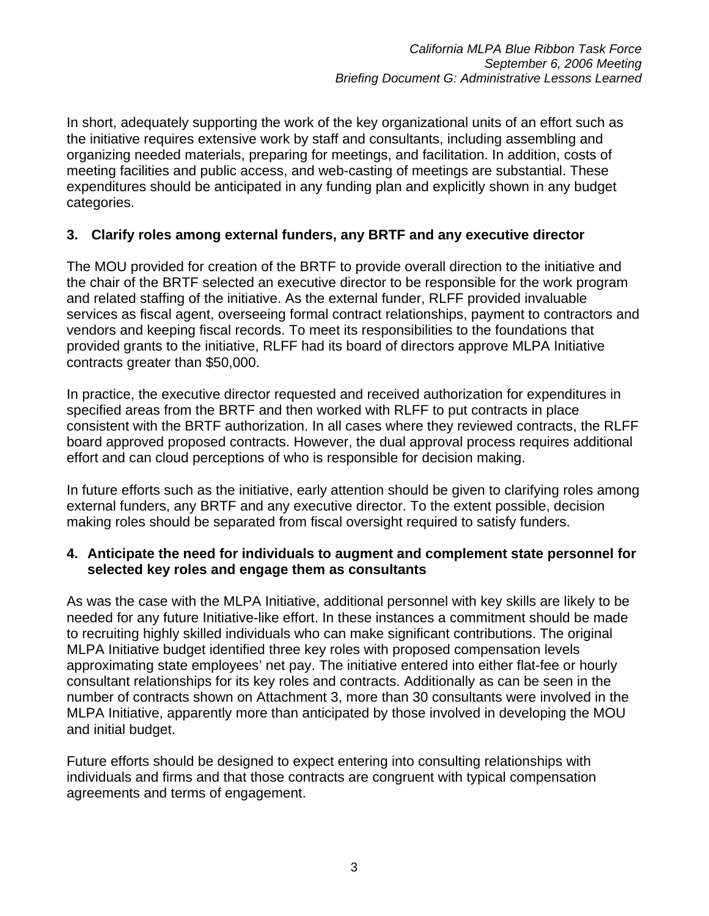In short, adequately supporting the work of the key organizational units of an effort such as the initiative requires extensive work by staff and consultants, including assembling and organizing needed materials, preparing for meetings, and facilitation. In addition, costs of meeting facilities and public access, and web-casting of meetings are substantial. These expenditures should be anticipated in any funding plan and explicitly shown in any budget categories.

### **3. Clarify roles among external funders, any BRTF and any executive director**

The MOU provided for creation of the BRTF to provide overall direction to the initiative and the chair of the BRTF selected an executive director to be responsible for the work program and related staffing of the initiative. As the external funder, RLFF provided invaluable services as fiscal agent, overseeing formal contract relationships, payment to contractors and vendors and keeping fiscal records. To meet its responsibilities to the foundations that provided grants to the initiative, RLFF had its board of directors approve MLPA Initiative contracts greater than \$50,000.

In practice, the executive director requested and received authorization for expenditures in specified areas from the BRTF and then worked with RLFF to put contracts in place consistent with the BRTF authorization. In all cases where they reviewed contracts, the RLFF board approved proposed contracts. However, the dual approval process requires additional effort and can cloud perceptions of who is responsible for decision making.

In future efforts such as the initiative, early attention should be given to clarifying roles among external funders, any BRTF and any executive director. To the extent possible, decision making roles should be separated from fiscal oversight required to satisfy funders.

#### **4. Anticipate the need for individuals to augment and complement state personnel for selected key roles and engage them as consultants**

As was the case with the MLPA Initiative, additional personnel with key skills are likely to be needed for any future Initiative-like effort. In these instances a commitment should be made to recruiting highly skilled individuals who can make significant contributions. The original MLPA Initiative budget identified three key roles with proposed compensation levels approximating state employees' net pay. The initiative entered into either flat-fee or hourly consultant relationships for its key roles and contracts. Additionally as can be seen in the number of contracts shown on Attachment 3, more than 30 consultants were involved in the MLPA Initiative, apparently more than anticipated by those involved in developing the MOU and initial budget.

Future efforts should be designed to expect entering into consulting relationships with individuals and firms and that those contracts are congruent with typical compensation agreements and terms of engagement.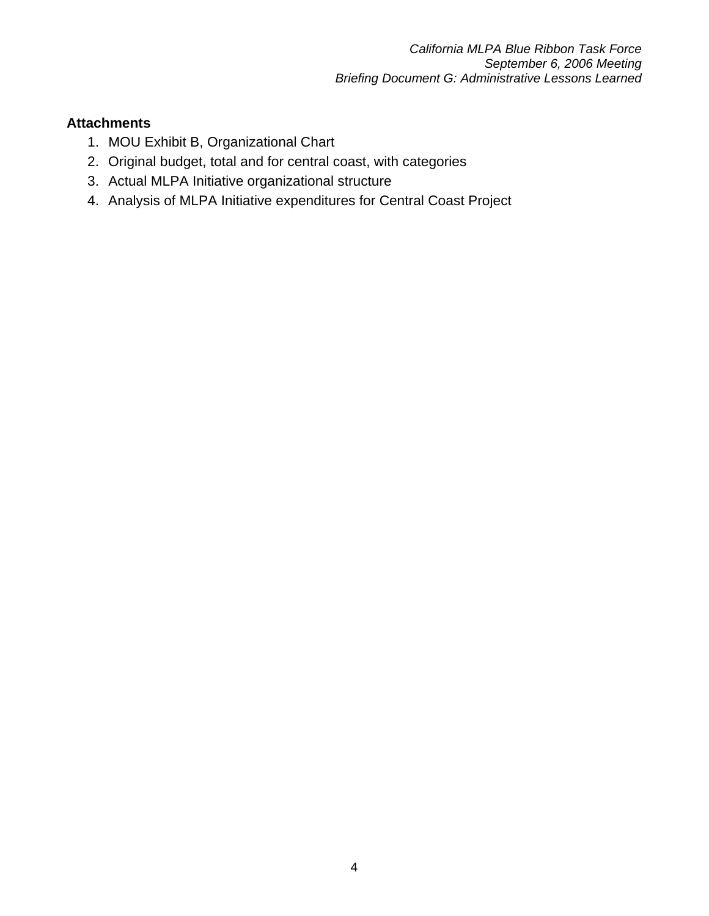### **Attachments**

- 1. MOU Exhibit B, Organizational Chart
- 2. Original budget, total and for central coast, with categories
- 3. Actual MLPA Initiative organizational structure
- 4. Analysis of MLPA Initiative expenditures for Central Coast Project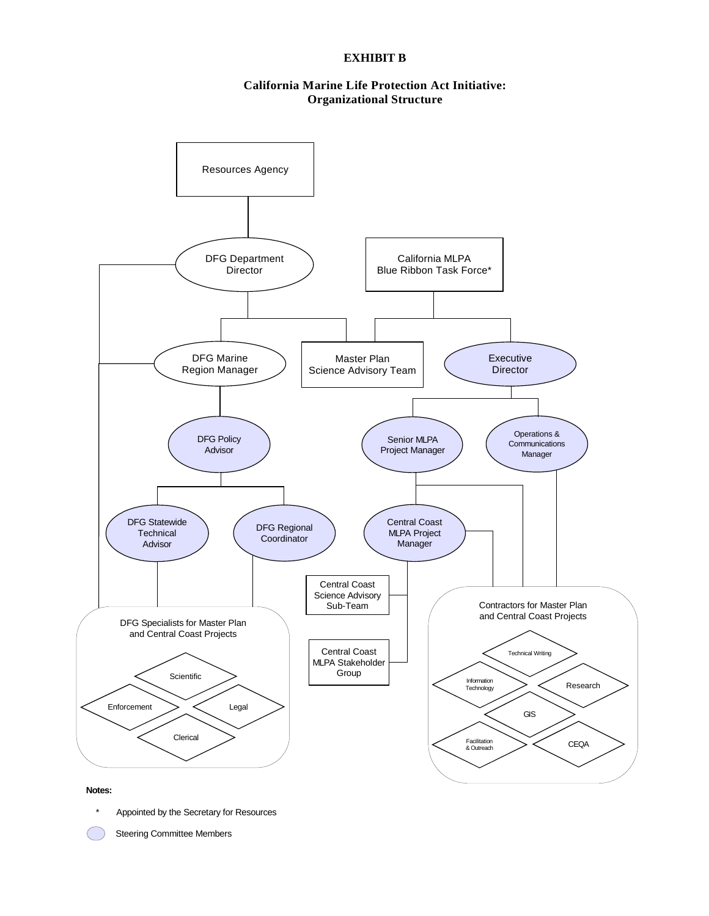#### **EXHIBIT B**

#### **California Marine Life Protection Act Initiative: Organizational Structure**



Appointed by the Secretary for Resources

Steering Committee Members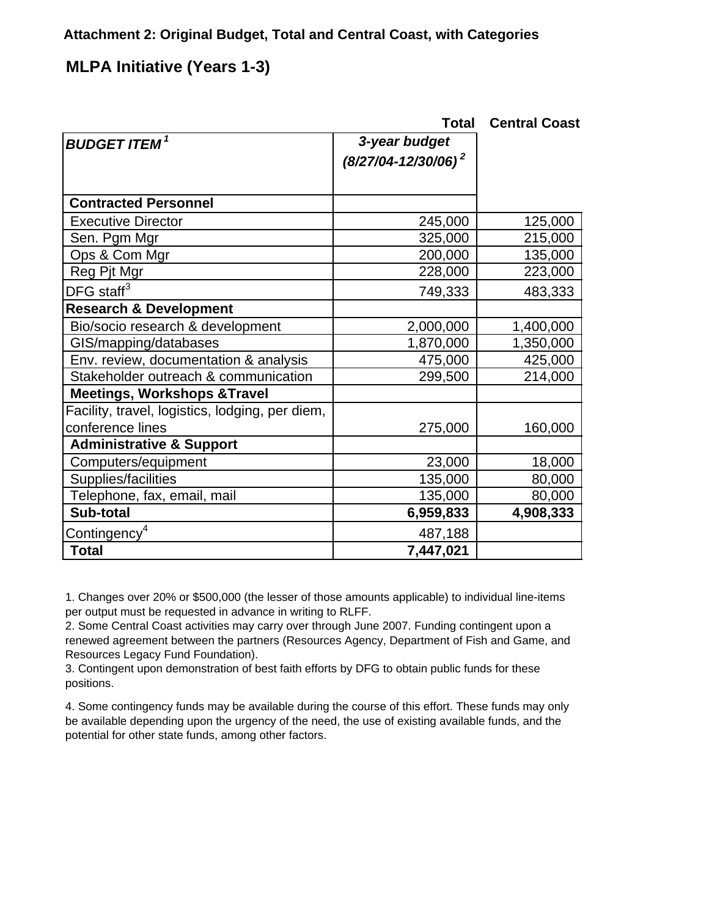### **Attachment 2: Original Budget, Total and Central Coast, with Categories**

# **MLPA Initiative (Years 1-3)**

|                                                 | Total                    | <b>Central Coast</b> |
|-------------------------------------------------|--------------------------|----------------------|
| <b>BUDGET ITEM<sup>1</sup></b>                  | 3-year budget            |                      |
|                                                 | $(8/27/04 - 12/30/06)^2$ |                      |
| <b>Contracted Personnel</b>                     |                          |                      |
| <b>Executive Director</b>                       | 245,000                  | 125,000              |
| Sen. Pgm Mgr                                    | 325,000                  | 215,000              |
| Ops & Com Mgr                                   | 200,000                  | 135,000              |
| Reg Pjt Mgr                                     | 228,000                  | 223,000              |
| DFG staff $3$                                   | 749,333                  | 483,333              |
| <b>Research &amp; Development</b>               |                          |                      |
| Bio/socio research & development                | 2,000,000                | 1,400,000            |
| GIS/mapping/databases                           | 1,870,000                | 1,350,000            |
| Env. review, documentation & analysis           | 475,000                  | 425,000              |
| Stakeholder outreach & communication            | 299,500                  | 214,000              |
| <b>Meetings, Workshops &amp; Travel</b>         |                          |                      |
| Facility, travel, logistics, lodging, per diem, |                          |                      |
| conference lines                                | 275,000                  | 160,000              |
| <b>Administrative &amp; Support</b>             |                          |                      |
| Computers/equipment                             | 23,000                   | 18,000               |
| Supplies/facilities                             | 135,000                  | 80,000               |
| Telephone, fax, email, mail                     | 135,000                  | 80,000               |
| Sub-total                                       | 6,959,833                | 4,908,333            |
| Contingency <sup>4</sup>                        | 487,188                  |                      |
| <b>Total</b>                                    | 7,447,021                |                      |

1. Changes over 20% or \$500,000 (the lesser of those amounts applicable) to individual line-items per output must be requested in advance in writing to RLFF.

2. Some Central Coast activities may carry over through June 2007. Funding contingent upon a renewed agreement between the partners (Resources Agency, Department of Fish and Game, and Resources Legacy Fund Foundation).

3. Contingent upon demonstration of best faith efforts by DFG to obtain public funds for these positions.

4. Some contingency funds may be available during the course of this effort. These funds may only be available depending upon the urgency of the need, the use of existing available funds, and the potential for other state funds, among other factors.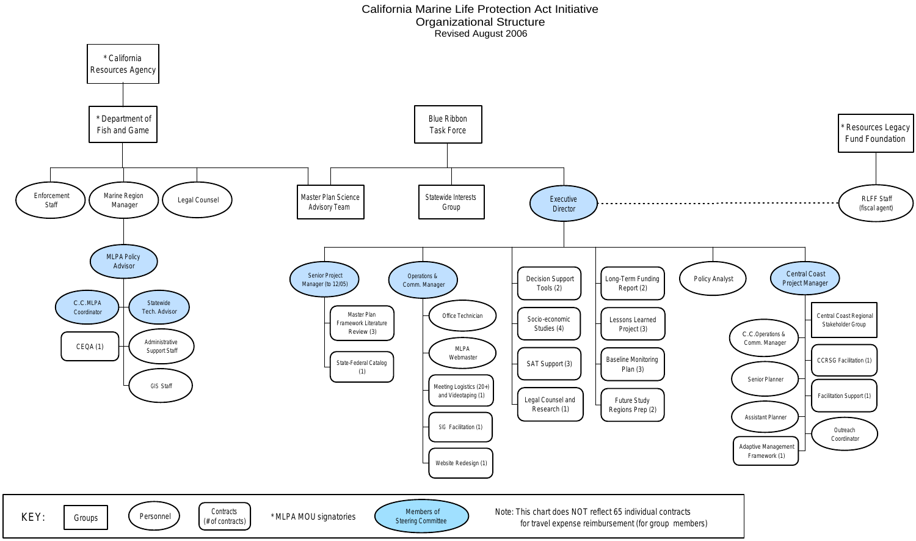